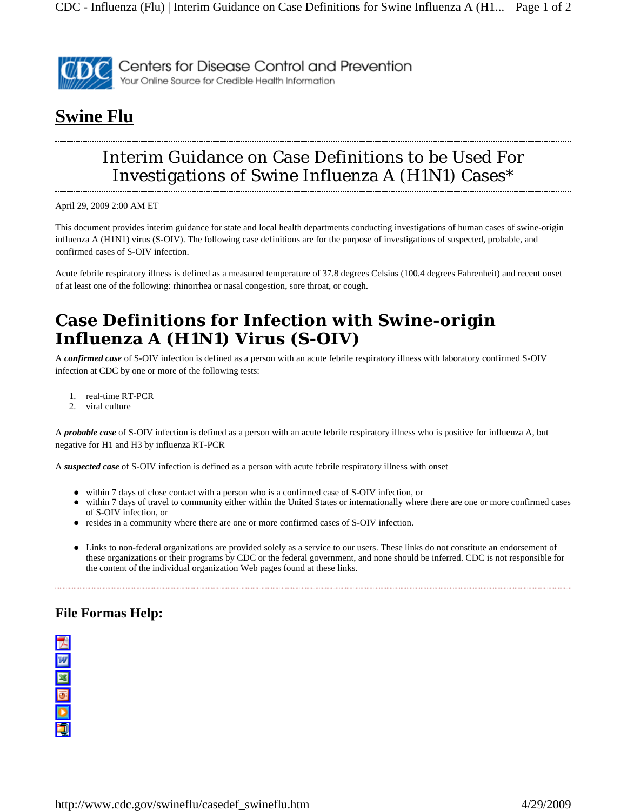

## **Swine Flu**

## Interim Guidance on Case Definitions to be Used For Investigations of Swine Influenza A (H1N1) Cases\*

April 29, 2009 2:00 AM ET

This document provides interim guidance for state and local health departments conducting investigations of human cases of swine-origin influenza A (H1N1) virus (S-OIV). The following case definitions are for the purpose of investigations of suspected, probable, and confirmed cases of S-OIV infection.

Acute febrile respiratory illness is defined as a measured temperature of 37.8 degrees Celsius (100.4 degrees Fahrenheit) and recent onset of at least one of the following: rhinorrhea or nasal congestion, sore throat, or cough.

## **Case Definitions for Infection with Swine-origin Influenza A (H1N1) Virus (S-OIV)**

A *confirmed case* of S-OIV infection is defined as a person with an acute febrile respiratory illness with laboratory confirmed S-OIV infection at CDC by one or more of the following tests:

- 1. real-time RT-PCR
- 2. viral culture

A *probable case* of S-OIV infection is defined as a person with an acute febrile respiratory illness who is positive for influenza A, but negative for H1 and H3 by influenza RT-PCR

A *suspected case* of S-OIV infection is defined as a person with acute febrile respiratory illness with onset

- within 7 days of close contact with a person who is a confirmed case of S-OIV infection, or
- within 7 days of travel to community either within the United States or internationally where there are one or more confirmed cases of S-OIV infection, or
- z resides in a community where there are one or more confirmed cases of S-OIV infection.
- Links to non-federal organizations are provided solely as a service to our users. These links do not constitute an endorsement of these organizations or their programs by CDC or the federal government, and none should be inferred. CDC is not responsible for the content of the individual organization Web pages found at these links.

## **File Formas Help:**